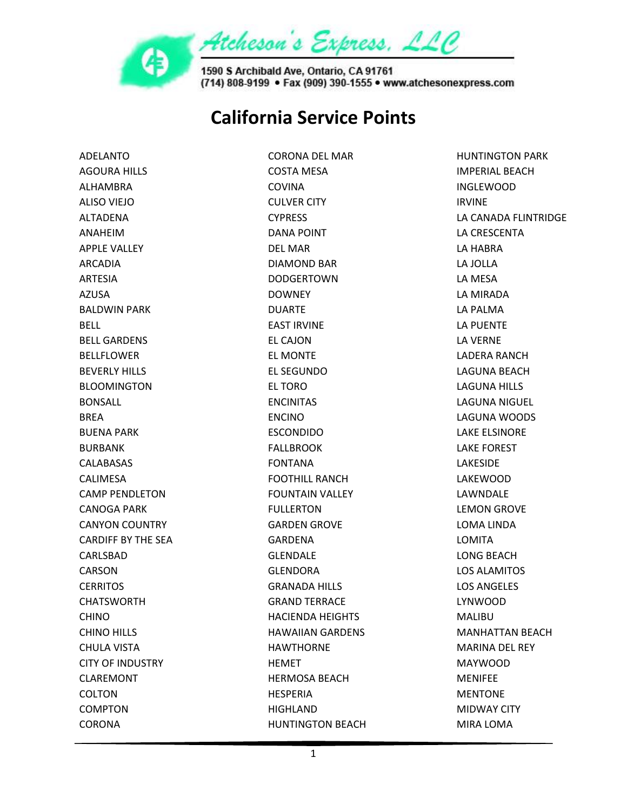

## **California Service Points**

ADELANTO AGOURA HILLS ALHAMBRA ALISO VIEJO ALTADENA ANAHEIM APPLE VALLEY ARCADIA ARTESIA AZUSA BALDWIN PARK BELL BELL GARDENS BELLFLOWER BEVERLY HILLS BLOOMINGTON BONSALL **BRFA** BUENA PARK BURBANK **CALABASAS** CALIMESA CAMP PENDLETON CANOGA PARK CANYON COUNTRY CARDIFF BY THE SEA CARLSBAD CARSON **CERRITOS** CHATSWORTH CHINO CHINO HILLS CHULA VISTA CITY OF INDUSTRY CLAREMONT COLTON COMPTON CORONA

CORONA DEL MAR COSTA MESA COVINA CULVER CITY **CYPRESS** DANA POINT DEL MAR DIAMOND BAR DODGERTOWN DOWNEY DUARTE EAST IRVINE EL CAJON EL MONTE EL SEGUNDO EL TORO ENCINITAS ENCINO ESCONDIDO FALLBROOK FONTANA FOOTHILL RANCH FOUNTAIN VALLEY FULLERTON GARDEN GROVE GARDENA GLENDALE GLENDORA GRANADA HILLS GRAND TERRACE HACIENDA HEIGHTS HAWAIIAN GARDENS HAWTHORNE **HEMET** HERMOSA BEACH HESPERIA HIGHLAND HUNTINGTON BEACH

HUNTINGTON PARK IMPERIAL BEACH INGLEWOOD IRVINE LA CANADA FLINTRIDGE LA CRESCENTA LA HABRA LA JOLLA LA MESA LA MIRADA LA PALMA LA PUENTE LA VERNE LADERA RANCH LAGUNA BEACH LAGUNA HILLS LAGUNA NIGUEL LAGUNA WOODS LAKE ELSINORE LAKE FOREST LAKESIDE LAKEWOOD LAWNDALE LEMON GROVE LOMA LINDA LOMITA LONG BEACH LOS ALAMITOS LOS ANGELES LYNWOOD MALIBU MANHATTAN BEACH MARINA DEL REY MAYWOOD MENIFEE MENTONE MIDWAY CITY MIRA LOMA